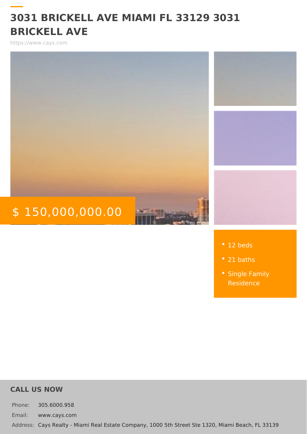## 3031 BRICKELL AVE MIAMI FL 33129 3031 BRICKELL AVE

https://www.cays.com

# \$ 150,000,000.00

|  | $\bullet$ 12 beds |  |  |  |
|--|-------------------|--|--|--|
|  |                   |  |  |  |

- 21 baths
- [Single Fa](https://www.cays.com/es_type/single-family-residence/)mily

#### CALL US NOW

Phone: 305.6000.958 Email: www.cays.com Addres Cays Realty - Miami Real Estate Company, 1000 5th Street Ste 1320, Mia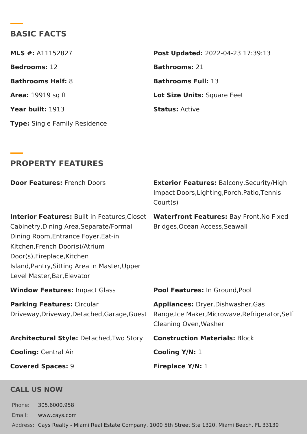#### BASIC FACTS

| MLS #:A11152827              | Post Update @022-04-23 17:39:13 |
|------------------------------|---------------------------------|
| Bedrooms12                   | Bathrooms21                     |
| Bathrooms HaBf:              | Bathrooms Full3                 |
| Area: 19919 sq ft            | Lot Size UniSsquare Feet        |
| Year build:913               | StatusActive                    |
| Type Single Family Residence |                                 |

#### PROPERTY FEATURES

Door Feature Stench Doors Exterior Featur Balcony, Security/Hi Impact Doors, Lighting, Porch, Patio Court(s)

Interior Featur®suilt–in Features, Wlatseortfront FeaturBsay Front, No Fix Cabinetry, Dining Area, Separate/Bordngeels, Ocean Access, Seawall Dining Room,Entrance Foyer,Eat-in Kitchen,French Door(s)/Atrium Door(s),Fireplace,Kitchen Island,Pantry,Sitting Area in Master,Upper Level Master,Bar,Elevator

Window Feature smpact Glass Pool Feature Isn: Ground, Pool

Parking Featur Csircular Driveway, Driveway, Detached, Garage g Gules et Maker, Microwave, Refrig Appliance  $\Omega$  ryer, Dishwasher, Gas Cleaning Oven,Washer

Architectural StyDetached, Two Stoomstruction Materialock

| CoolingCentral Air | Cooling Y/N:   |
|--------------------|----------------|
| Covered Spaces:    | Fireplace Y/N: |

#### CALL US NOW

Phone: 305.6000.958 Email: www.cays.com Addres Cays Realty - Miami Real Estate Company, 1000 5th Street Ste 1320, Mia